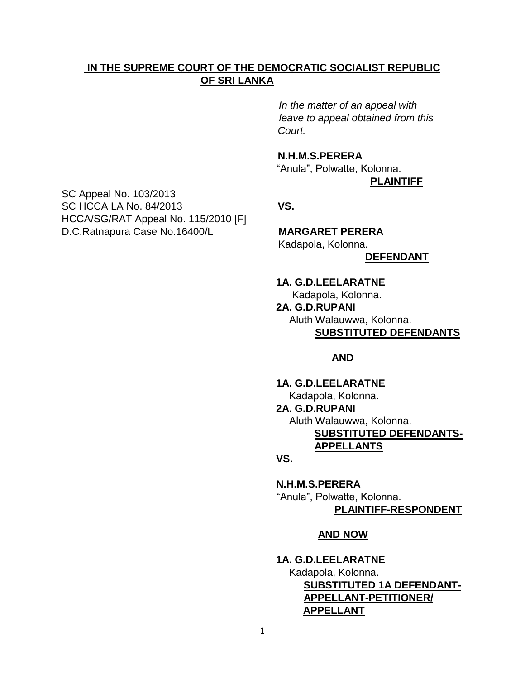### **IN THE SUPREME COURT OF THE DEMOCRATIC SOCIALIST REPUBLIC OF SRI LANKA**

 *In the matter of an appeal with leave to appeal obtained from this Court.*

# **N.H.M.S.PERERA**

 "Anula", Polwatte, Kolonna. **PLAINTIFF**

Kadapola, Kolonna.  **DEFENDANT**

# **1A. G.D.LEELARATNE** Kadapola, Kolonna.  **2A. G.D.RUPANI** Aluth Walauwwa, Kolonna.

**SUBSTITUTED DEFENDANTS**

## **AND**

 **1A. G.D.LEELARATNE**

Kadapola, Kolonna.

### **2A. G.D.RUPANI**

Aluth Walauwwa, Kolonna.

 **SUBSTITUTED DEFENDANTS- APPELLANTS**

#### *VS.*  $\overline{\phantom{a}}$

 **N.H.M.S.PERERA** "Anula", Polwatte, Kolonna. **PLAINTIFF-RESPONDENT**

#### **AND NOW**

 **1A. G.D.LEELARATNE**

 Kadapola, Kolonna. **SUBSTITUTED 1A DEFENDANT- APPELLANT-PETITIONER/ APPELLANT**

SC Appeal No. 103/2013 SC HCCA LA No. 84/2013 **VS.** HCCA/SG/RAT Appeal No. 115/2010 [F] D.C.Ratnapura Case No.16400/L **MARGARET PERERA**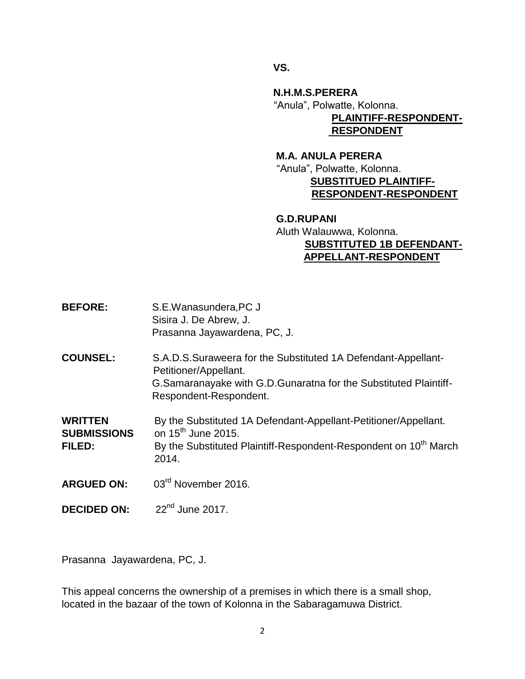**VS.** 

 **N.H.M.S.PERERA** "Anula", Polwatte, Kolonna. **PLAINTIFF-RESPONDENT- RESPONDENT**

 **M.A. ANULA PERERA** "Anula", Polwatte, Kolonna.  **SUBSTITUED PLAINTIFF-RESPONDENT-RESPONDENT** 

## **G.D.RUPANI** Aluth Walauwwa, Kolonna. **SUBSTITUTED 1B DEFENDANT- APPELLANT-RESPONDENT**

- **BEFORE:** S.E.Wanasundera,PC J Sisira J. De Abrew, J. Prasanna Jayawardena, PC, J.
- **COUNSEL:** S.A.D.S.Suraweera for the Substituted 1A Defendant-Appellant- Petitioner/Appellant. G.Samaranayake with G.D.Gunaratna for the Substituted Plaintiff- Respondent-Respondent.

**WRITTEN** By the Substituted 1A Defendant-Appellant-Petitioner/Appellant. **SUBMISSIONS** on 15<sup>th</sup> June 2015. **FILED:** By the Substituted Plaintiff-Respondent-Respondent on 10<sup>th</sup> March 2014.

- **ARGUED ON:** 03rd November 2016.
- **DECIDED ON:**  $22<sup>nd</sup>$  June 2017.

Prasanna Jayawardena, PC, J.

This appeal concerns the ownership of a premises in which there is a small shop, located in the bazaar of the town of Kolonna in the Sabaragamuwa District.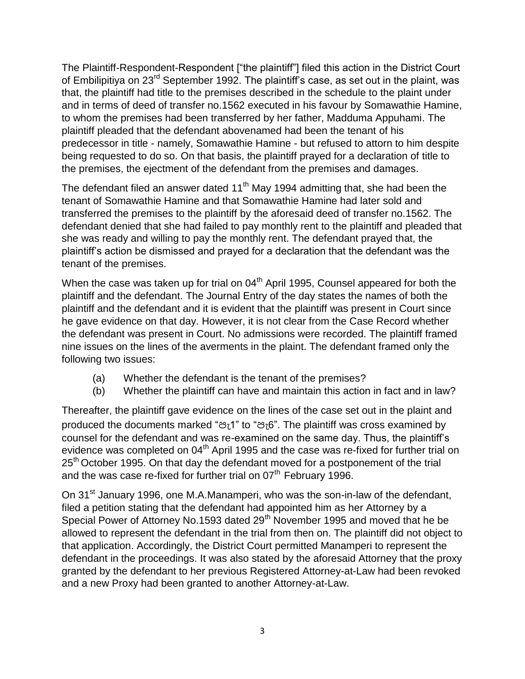The Plaintiff-Respondent-Respondent ["the plaintiff"] filed this action in the District Court of Embilipitiya on 23<sup>rd</sup> September 1992. The plaintiff's case, as set out in the plaint, was that, the plaintiff had title to the premises described in the schedule to the plaint under and in terms of deed of transfer no.1562 executed in his favour by Somawathie Hamine, to whom the premises had been transferred by her father, Madduma Appuhami. The plaintiff pleaded that the defendant abovenamed had been the tenant of his predecessor in title - namely, Somawathie Hamine - but refused to attorn to him despite being requested to do so. On that basis, the plaintiff prayed for a declaration of title to the premises, the ejectment of the defendant from the premises and damages.

The defendant filed an answer dated  $11<sup>th</sup>$  May 1994 admitting that, she had been the tenant of Somawathie Hamine and that Somawathie Hamine had later sold and transferred the premises to the plaintiff by the aforesaid deed of transfer no.1562. The defendant denied that she had failed to pay monthly rent to the plaintiff and pleaded that she was ready and willing to pay the monthly rent. The defendant prayed that, the plaintiff's action be dismissed and prayed for a declaration that the defendant was the tenant of the premises.

When the case was taken up for trial on  $04<sup>th</sup>$  April 1995, Counsel appeared for both the plaintiff and the defendant. The Journal Entry of the day states the names of both the plaintiff and the defendant and it is evident that the plaintiff was present in Court since he gave evidence on that day. However, it is not clear from the Case Record whether the defendant was present in Court. No admissions were recorded. The plaintiff framed nine issues on the lines of the averments in the plaint. The defendant framed only the following two issues:

- (a) Whether the defendant is the tenant of the premises?
- (b) Whether the plaintiff can have and maintain this action in fact and in law?

Thereafter, the plaintiff gave evidence on the lines of the case set out in the plaint and produced the documents marked "පැ1" to "පැ6". The plaintiff was cross examined by counsel for the defendant and was re-examined on the same day. Thus, the plaintiff's evidence was completed on 04<sup>th</sup> April 1995 and the case was re-fixed for further trial on 25<sup>th</sup> October 1995. On that day the defendant moved for a postponement of the trial and the was case re-fixed for further trial on 07<sup>th</sup> February 1996.

On 31<sup>st</sup> January 1996, one M.A.Manamperi, who was the son-in-law of the defendant, filed a petition stating that the defendant had appointed him as her Attorney by a Special Power of Attorney No.1593 dated 29<sup>th</sup> November 1995 and moved that he be allowed to represent the defendant in the trial from then on. The plaintiff did not object to that application. Accordingly, the District Court permitted Manamperi to represent the defendant in the proceedings. It was also stated by the aforesaid Attorney that the proxy granted by the defendant to her previous Registered Attorney-at-Law had been revoked and a new Proxy had been granted to another Attorney-at-Law.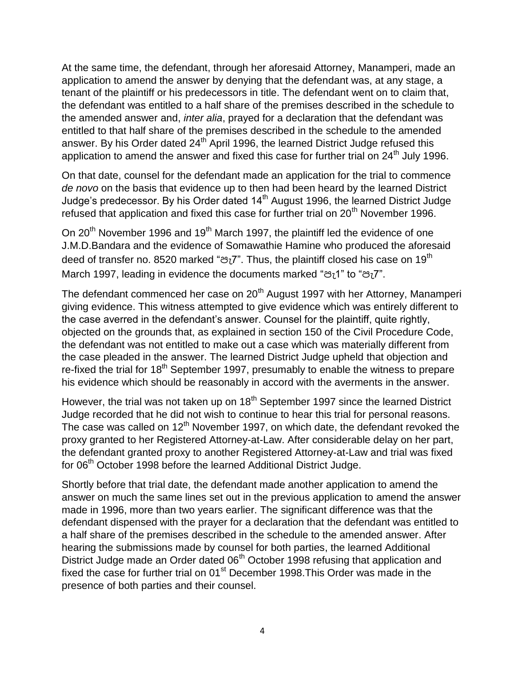At the same time, the defendant, through her aforesaid Attorney, Manamperi, made an application to amend the answer by denying that the defendant was, at any stage, a tenant of the plaintiff or his predecessors in title. The defendant went on to claim that, the defendant was entitled to a half share of the premises described in the schedule to the amended answer and, *inter alia*, prayed for a declaration that the defendant was entitled to that half share of the premises described in the schedule to the amended answer. By his Order dated  $24<sup>th</sup>$  April 1996, the learned District Judge refused this application to amend the answer and fixed this case for further trial on 24<sup>th</sup> July 1996.

On that date, counsel for the defendant made an application for the trial to commence *de novo* on the basis that evidence up to then had been heard by the learned District Judge's predecessor. By his Order dated  $14<sup>th</sup>$  August 1996, the learned District Judge refused that application and fixed this case for further trial on  $20<sup>th</sup>$  November 1996.

On 20<sup>th</sup> November 1996 and 19<sup>th</sup> March 1997, the plaintiff led the evidence of one J.M.D.Bandara and the evidence of Somawathie Hamine who produced the aforesaid deed of transfer no. 8520 marked "පැ7". Thus, the plaintiff closed his case on 19<sup>th</sup> March 1997, leading in evidence the documents marked "පැ1" to "පැ7".

The defendant commenced her case on 20<sup>th</sup> August 1997 with her Attorney, Manamperi giving evidence. This witness attempted to give evidence which was entirely different to the case averred in the defendant's answer. Counsel for the plaintiff, quite rightly, objected on the grounds that, as explained in section 150 of the Civil Procedure Code, the defendant was not entitled to make out a case which was materially different from the case pleaded in the answer. The learned District Judge upheld that objection and re-fixed the trial for 18<sup>th</sup> September 1997, presumably to enable the witness to prepare his evidence which should be reasonably in accord with the averments in the answer.

However, the trial was not taken up on 18<sup>th</sup> September 1997 since the learned District Judge recorded that he did not wish to continue to hear this trial for personal reasons. The case was called on  $12<sup>th</sup>$  November 1997, on which date, the defendant revoked the proxy granted to her Registered Attorney-at-Law. After considerable delay on her part, the defendant granted proxy to another Registered Attorney-at-Law and trial was fixed for 06<sup>th</sup> October 1998 before the learned Additional District Judge.

Shortly before that trial date, the defendant made another application to amend the answer on much the same lines set out in the previous application to amend the answer made in 1996, more than two years earlier. The significant difference was that the defendant dispensed with the prayer for a declaration that the defendant was entitled to a half share of the premises described in the schedule to the amended answer. After hearing the submissions made by counsel for both parties, the learned Additional District Judge made an Order dated 06<sup>th</sup> October 1998 refusing that application and fixed the case for further trial on 01<sup>st</sup> December 1998. This Order was made in the presence of both parties and their counsel.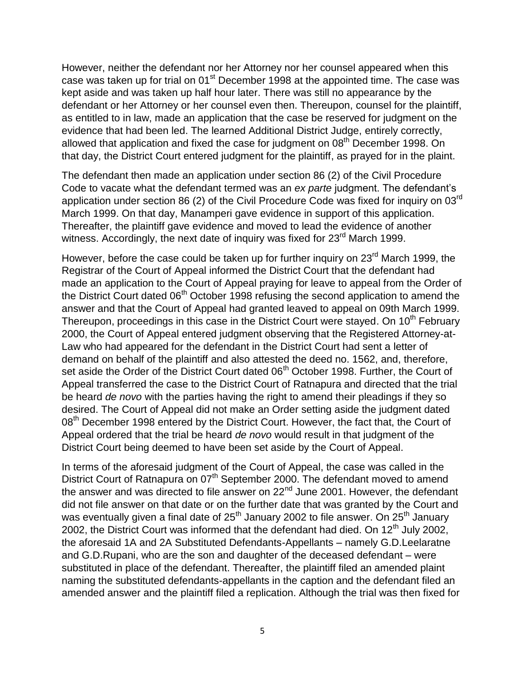However, neither the defendant nor her Attorney nor her counsel appeared when this case was taken up for trial on  $01<sup>st</sup>$  December 1998 at the appointed time. The case was kept aside and was taken up half hour later. There was still no appearance by the defendant or her Attorney or her counsel even then. Thereupon, counsel for the plaintiff, as entitled to in law, made an application that the case be reserved for judgment on the evidence that had been led. The learned Additional District Judge, entirely correctly, allowed that application and fixed the case for judgment on 08<sup>th</sup> December 1998. On that day, the District Court entered judgment for the plaintiff, as prayed for in the plaint.

The defendant then made an application under section 86 (2) of the Civil Procedure Code to vacate what the defendant termed was an *ex parte* judgment. The defendant's application under section 86 (2) of the Civil Procedure Code was fixed for inquiry on 03rd March 1999. On that day, Manamperi gave evidence in support of this application. Thereafter, the plaintiff gave evidence and moved to lead the evidence of another witness. Accordingly, the next date of inquiry was fixed for 23<sup>rd</sup> March 1999.

However, before the case could be taken up for further inquiry on 23<sup>rd</sup> March 1999, the Registrar of the Court of Appeal informed the District Court that the defendant had made an application to the Court of Appeal praying for leave to appeal from the Order of the District Court dated 06<sup>th</sup> October 1998 refusing the second application to amend the answer and that the Court of Appeal had granted leaved to appeal on 09th March 1999. Thereupon, proceedings in this case in the District Court were stayed. On 10<sup>th</sup> February 2000, the Court of Appeal entered judgment observing that the Registered Attorney-at-Law who had appeared for the defendant in the District Court had sent a letter of demand on behalf of the plaintiff and also attested the deed no. 1562, and, therefore, set aside the Order of the District Court dated 06<sup>th</sup> October 1998. Further, the Court of Appeal transferred the case to the District Court of Ratnapura and directed that the trial be heard *de novo* with the parties having the right to amend their pleadings if they so desired. The Court of Appeal did not make an Order setting aside the judgment dated 08<sup>th</sup> December 1998 entered by the District Court. However, the fact that, the Court of Appeal ordered that the trial be heard *de novo* would result in that judgment of the District Court being deemed to have been set aside by the Court of Appeal.

In terms of the aforesaid judgment of the Court of Appeal, the case was called in the District Court of Ratnapura on 07<sup>th</sup> September 2000. The defendant moved to amend the answer and was directed to file answer on  $22<sup>nd</sup>$  June 2001. However, the defendant did not file answer on that date or on the further date that was granted by the Court and was eventually given a final date of  $25<sup>th</sup>$  January 2002 to file answer. On  $25<sup>th</sup>$  January 2002, the District Court was informed that the defendant had died. On  $12<sup>th</sup>$  July 2002, the aforesaid 1A and 2A Substituted Defendants-Appellants – namely G.D.Leelaratne and G.D.Rupani, who are the son and daughter of the deceased defendant – were substituted in place of the defendant. Thereafter, the plaintiff filed an amended plaint naming the substituted defendants-appellants in the caption and the defendant filed an amended answer and the plaintiff filed a replication. Although the trial was then fixed for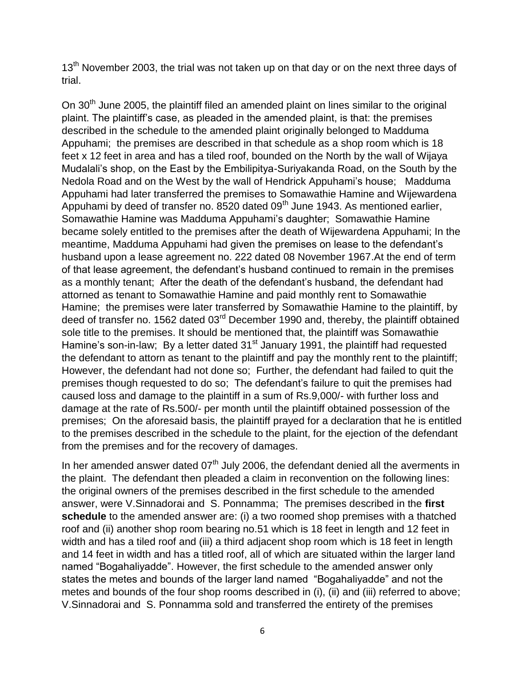$13<sup>th</sup>$  November 2003, the trial was not taken up on that day or on the next three days of trial.

On 30<sup>th</sup> June 2005, the plaintiff filed an amended plaint on lines similar to the original plaint. The plaintiff's case, as pleaded in the amended plaint, is that: the premises described in the schedule to the amended plaint originally belonged to Madduma Appuhami; the premises are described in that schedule as a shop room which is 18 feet x 12 feet in area and has a tiled roof, bounded on the North by the wall of Wijaya Mudalali's shop, on the East by the Embilipitya-Suriyakanda Road, on the South by the Nedola Road and on the West by the wall of Hendrick Appuhami's house; Madduma Appuhami had later transferred the premises to Somawathie Hamine and Wijewardena Appuhami by deed of transfer no. 8520 dated 09<sup>th</sup> June 1943. As mentioned earlier, Somawathie Hamine was Madduma Appuhami's daughter; Somawathie Hamine became solely entitled to the premises after the death of Wijewardena Appuhami; In the meantime, Madduma Appuhami had given the premises on lease to the defendant's husband upon a lease agreement no. 222 dated 08 November 1967.At the end of term of that lease agreement, the defendant's husband continued to remain in the premises as a monthly tenant; After the death of the defendant's husband, the defendant had attorned as tenant to Somawathie Hamine and paid monthly rent to Somawathie Hamine; the premises were later transferred by Somawathie Hamine to the plaintiff, by deed of transfer no. 1562 dated 03<sup>rd</sup> December 1990 and, thereby, the plaintiff obtained sole title to the premises. It should be mentioned that, the plaintiff was Somawathie Hamine's son-in-law; By a letter dated  $31<sup>st</sup>$  January 1991, the plaintiff had requested the defendant to attorn as tenant to the plaintiff and pay the monthly rent to the plaintiff; However, the defendant had not done so; Further, the defendant had failed to quit the premises though requested to do so; The defendant's failure to quit the premises had caused loss and damage to the plaintiff in a sum of Rs.9,000/- with further loss and damage at the rate of Rs.500/- per month until the plaintiff obtained possession of the premises; On the aforesaid basis, the plaintiff prayed for a declaration that he is entitled to the premises described in the schedule to the plaint, for the ejection of the defendant from the premises and for the recovery of damages.

In her amended answer dated  $07<sup>th</sup>$  July 2006, the defendant denied all the averments in the plaint. The defendant then pleaded a claim in reconvention on the following lines: the original owners of the premises described in the first schedule to the amended answer, were V.Sinnadorai and S. Ponnamma; The premises described in the **first schedule** to the amended answer are: (i) a two roomed shop premises with a thatched roof and (ii) another shop room bearing no.51 which is 18 feet in length and 12 feet in width and has a tiled roof and (iii) a third adjacent shop room which is 18 feet in length and 14 feet in width and has a titled roof, all of which are situated within the larger land named "Bogahaliyadde". However, the first schedule to the amended answer only states the metes and bounds of the larger land named "Bogahaliyadde" and not the metes and bounds of the four shop rooms described in (i), (ii) and (iii) referred to above; V.Sinnadorai and S. Ponnamma sold and transferred the entirety of the premises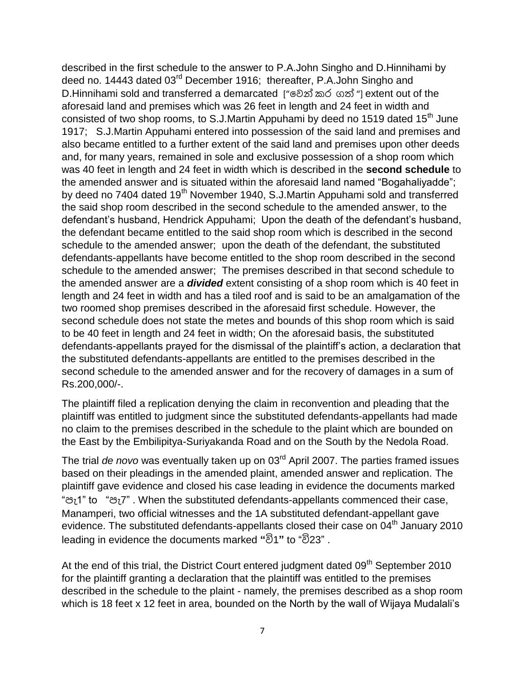described in the first schedule to the answer to P.A.John Singho and D.Hinnihami by deed no. 14443 dated 03<sup>rd</sup> December 1916; thereafter, P.A.John Singho and D.Hinnihami sold and transferred a demarcated ["වෙන් කර ගත් "] extent out of the aforesaid land and premises which was 26 feet in length and 24 feet in width and consisted of two shop rooms, to S.J.Martin Appuhami by deed no 1519 dated 15<sup>th</sup> June 1917; S.J.Martin Appuhami entered into possession of the said land and premises and also became entitled to a further extent of the said land and premises upon other deeds and, for many years, remained in sole and exclusive possession of a shop room which was 40 feet in length and 24 feet in width which is described in the **second schedule** to the amended answer and is situated within the aforesaid land named "Bogahaliyadde"; by deed no 7404 dated 19<sup>th</sup> November 1940, S.J.Martin Appuhami sold and transferred the said shop room described in the second schedule to the amended answer, to the defendant's husband, Hendrick Appuhami; Upon the death of the defendant's husband, the defendant became entitled to the said shop room which is described in the second schedule to the amended answer; upon the death of the defendant, the substituted defendants-appellants have become entitled to the shop room described in the second schedule to the amended answer; The premises described in that second schedule to the amended answer are a *divided* extent consisting of a shop room which is 40 feet in length and 24 feet in width and has a tiled roof and is said to be an amalgamation of the two roomed shop premises described in the aforesaid first schedule. However, the second schedule does not state the metes and bounds of this shop room which is said to be 40 feet in length and 24 feet in width; On the aforesaid basis, the substituted defendants-appellants prayed for the dismissal of the plaintiff's action, a declaration that the substituted defendants-appellants are entitled to the premises described in the second schedule to the amended answer and for the recovery of damages in a sum of Rs.200,000/-.

The plaintiff filed a replication denying the claim in reconvention and pleading that the plaintiff was entitled to judgment since the substituted defendants-appellants had made no claim to the premises described in the schedule to the plaint which are bounded on the East by the Embilipitya-Suriyakanda Road and on the South by the Nedola Road.

The trial *de novo* was eventually taken up on 03rd April 2007. The parties framed issues based on their pleadings in the amended plaint, amended answer and replication. The plaintiff gave evidence and closed his case leading in evidence the documents marked "පැ1" to "පැ7" . When the substituted defendants-appellants commenced their case, Manamperi, two official witnesses and the 1A substituted defendant-appellant gave evidence. The substituted defendants-appellants closed their case on 04<sup>th</sup> January 2010 leading in evidence the documents marked **"**වි1**"** to "වි23" .

At the end of this trial, the District Court entered judgment dated 09<sup>th</sup> September 2010 for the plaintiff granting a declaration that the plaintiff was entitled to the premises described in the schedule to the plaint - namely, the premises described as a shop room which is 18 feet x 12 feet in area, bounded on the North by the wall of Wijaya Mudalali's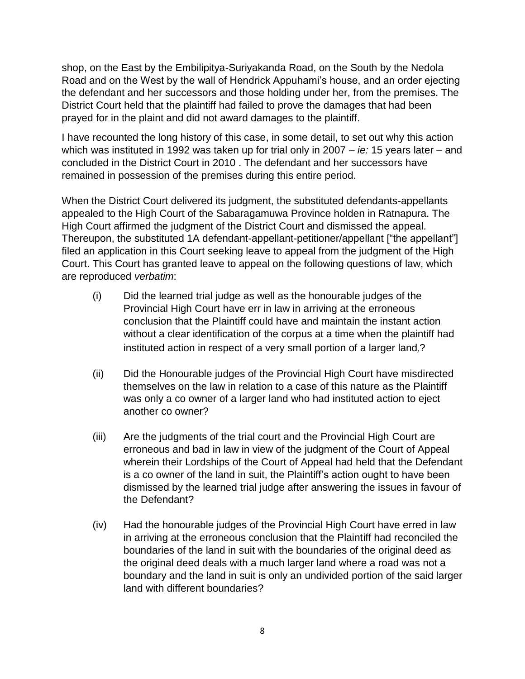shop, on the East by the Embilipitya-Suriyakanda Road, on the South by the Nedola Road and on the West by the wall of Hendrick Appuhami's house, and an order ejecting the defendant and her successors and those holding under her, from the premises. The District Court held that the plaintiff had failed to prove the damages that had been prayed for in the plaint and did not award damages to the plaintiff.

I have recounted the long history of this case, in some detail, to set out why this action which was instituted in 1992 was taken up for trial only in 2007 – *ie:* 15 years later – and concluded in the District Court in 2010 . The defendant and her successors have remained in possession of the premises during this entire period.

When the District Court delivered its judgment, the substituted defendants-appellants appealed to the High Court of the Sabaragamuwa Province holden in Ratnapura. The High Court affirmed the judgment of the District Court and dismissed the appeal. Thereupon, the substituted 1A defendant-appellant-petitioner/appellant ["the appellant"] filed an application in this Court seeking leave to appeal from the judgment of the High Court. This Court has granted leave to appeal on the following questions of law, which are reproduced *verbatim*:

- (i) Did the learned trial judge as well as the honourable judges of the Provincial High Court have err in law in arriving at the erroneous conclusion that the Plaintiff could have and maintain the instant action without a clear identification of the corpus at a time when the plaintiff had instituted action in respect of a very small portion of a larger land,?
- (ii) Did the Honourable judges of the Provincial High Court have misdirected themselves on the law in relation to a case of this nature as the Plaintiff was only a co owner of a larger land who had instituted action to eject another co owner?
- (iii) Are the judgments of the trial court and the Provincial High Court are erroneous and bad in law in view of the judgment of the Court of Appeal wherein their Lordships of the Court of Appeal had held that the Defendant is a co owner of the land in suit, the Plaintiff's action ought to have been dismissed by the learned trial judge after answering the issues in favour of the Defendant?
- (iv) Had the honourable judges of the Provincial High Court have erred in law in arriving at the erroneous conclusion that the Plaintiff had reconciled the boundaries of the land in suit with the boundaries of the original deed as the original deed deals with a much larger land where a road was not a boundary and the land in suit is only an undivided portion of the said larger land with different boundaries?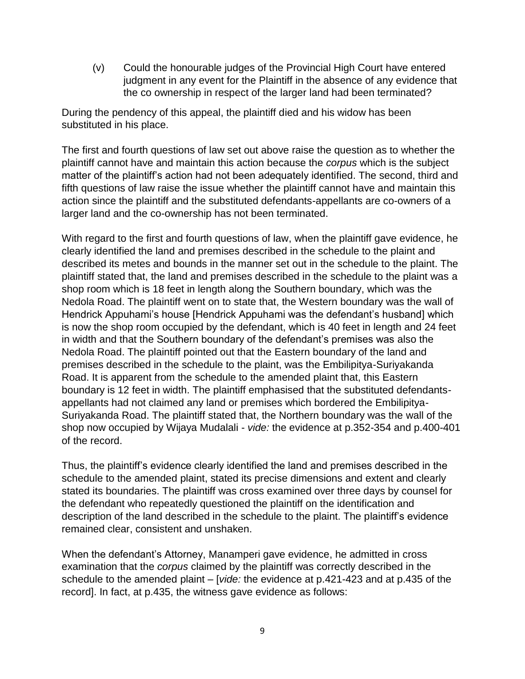(v) Could the honourable judges of the Provincial High Court have entered judgment in any event for the Plaintiff in the absence of any evidence that the co ownership in respect of the larger land had been terminated?

During the pendency of this appeal, the plaintiff died and his widow has been substituted in his place.

The first and fourth questions of law set out above raise the question as to whether the plaintiff cannot have and maintain this action because the *corpus* which is the subject matter of the plaintiff's action had not been adequately identified. The second, third and fifth questions of law raise the issue whether the plaintiff cannot have and maintain this action since the plaintiff and the substituted defendants-appellants are co-owners of a larger land and the co-ownership has not been terminated.

With regard to the first and fourth questions of law, when the plaintiff gave evidence, he clearly identified the land and premises described in the schedule to the plaint and described its metes and bounds in the manner set out in the schedule to the plaint. The plaintiff stated that, the land and premises described in the schedule to the plaint was a shop room which is 18 feet in length along the Southern boundary, which was the Nedola Road. The plaintiff went on to state that, the Western boundary was the wall of Hendrick Appuhami's house [Hendrick Appuhami was the defendant's husband] which is now the shop room occupied by the defendant, which is 40 feet in length and 24 feet in width and that the Southern boundary of the defendant's premises was also the Nedola Road. The plaintiff pointed out that the Eastern boundary of the land and premises described in the schedule to the plaint, was the Embilipitya-Suriyakanda Road. It is apparent from the schedule to the amended plaint that, this Eastern boundary is 12 feet in width. The plaintiff emphasised that the substituted defendantsappellants had not claimed any land or premises which bordered the Embilipitya-Suriyakanda Road. The plaintiff stated that, the Northern boundary was the wall of the shop now occupied by Wijaya Mudalali - *vide:* the evidence at p.352-354 and p.400-401 of the record.

Thus, the plaintiff's evidence clearly identified the land and premises described in the schedule to the amended plaint, stated its precise dimensions and extent and clearly stated its boundaries. The plaintiff was cross examined over three days by counsel for the defendant who repeatedly questioned the plaintiff on the identification and description of the land described in the schedule to the plaint. The plaintiff's evidence remained clear, consistent and unshaken.

When the defendant's Attorney, Manamperi gave evidence, he admitted in cross examination that the *corpus* claimed by the plaintiff was correctly described in the schedule to the amended plaint – [*vide:* the evidence at p.421-423 and at p.435 of the record]. In fact, at p.435, the witness gave evidence as follows: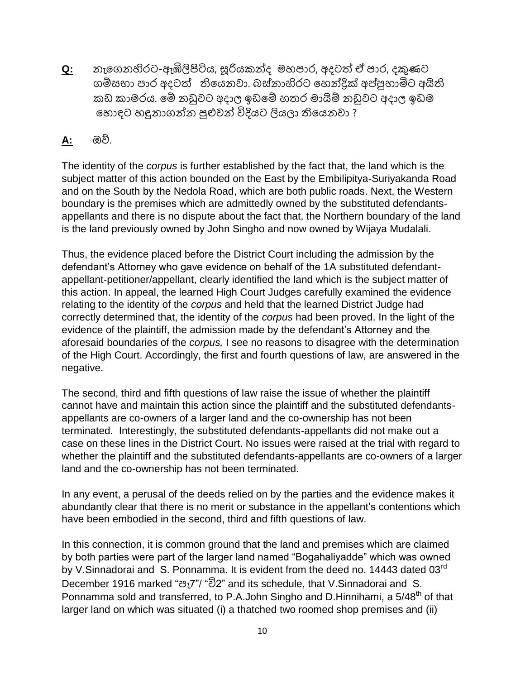**Q:** නැගෙනහිරට-ඇඹිලිපිටිය, සූරියකන්ද මහපාර, අදටත් ඒ පාර, දකුණට ෙම්සභා පාර අදටත් තිගයනවා. බස්නාහිරට ගහන්ද්රික් අ අපුහාහාට ට අතිති කඩ කාමරය. ගම් නඩුවට අදාල ඉඩගම් හතර මාතිම් නඩුවට අදාල ඉඩම ගහොඳට හඳුනාෙන්න හාළුවන් විදියට ලියලා තිගයනවා ?

## **A:** ඔව්.

The identity of the *corpus* is further established by the fact that, the land which is the subject matter of this action bounded on the East by the Embilipitya-Suriyakanda Road and on the South by the Nedola Road, which are both public roads. Next, the Western boundary is the premises which are admittedly owned by the substituted defendantsappellants and there is no dispute about the fact that, the Northern boundary of the land is the land previously owned by John Singho and now owned by Wijaya Mudalali.

Thus, the evidence placed before the District Court including the admission by the defendant's Attorney who gave evidence on behalf of the 1A substituted defendantappellant-petitioner/appellant, clearly identified the land which is the subject matter of this action. In appeal, the learned High Court Judges carefully examined the evidence relating to the identity of the *corpus* and held that the learned District Judge had correctly determined that, the identity of the *corpus* had been proved. In the light of the evidence of the plaintiff, the admission made by the defendant's Attorney and the aforesaid boundaries of the *corpus,* I see no reasons to disagree with the determination of the High Court. Accordingly, the first and fourth questions of law, are answered in the negative.

The second, third and fifth questions of law raise the issue of whether the plaintiff cannot have and maintain this action since the plaintiff and the substituted defendantsappellants are co-owners of a larger land and the co-ownership has not been terminated. Interestingly, the substituted defendants-appellants did not make out a case on these lines in the District Court. No issues were raised at the trial with regard to whether the plaintiff and the substituted defendants-appellants are co-owners of a larger land and the co-ownership has not been terminated.

In any event, a perusal of the deeds relied on by the parties and the evidence makes it abundantly clear that there is no merit or substance in the appellant's contentions which have been embodied in the second, third and fifth questions of law.

In this connection, it is common ground that the land and premises which are claimed by both parties were part of the larger land named "Bogahaliyadde" which was owned by V.Sinnadorai and S. Ponnamma. It is evident from the deed no. 14443 dated 03<sup>rd</sup> December 1916 marked "පැ7"/ "වි2" and its schedule, that V.Sinnadorai and S. Ponnamma sold and transferred, to P.A.John Singho and D.Hinnihami, a 5/48<sup>th</sup> of that larger land on which was situated (i) a thatched two roomed shop premises and (ii)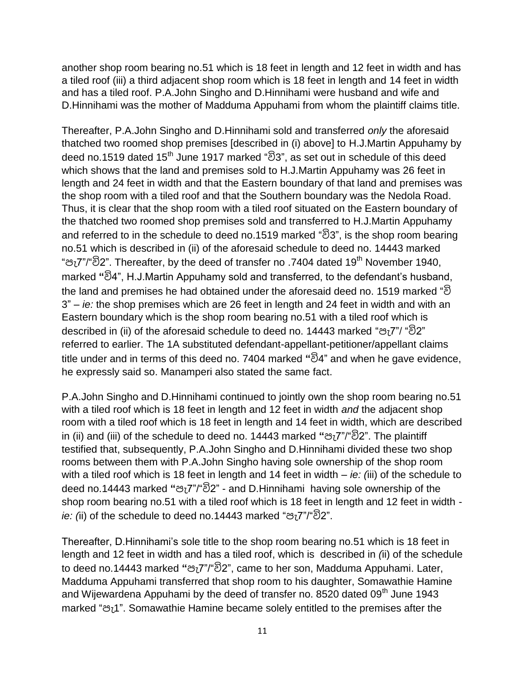another shop room bearing no.51 which is 18 feet in length and 12 feet in width and has a tiled roof (iii) a third adjacent shop room which is 18 feet in length and 14 feet in width and has a tiled roof. P.A.John Singho and D.Hinnihami were husband and wife and D.Hinnihami was the mother of Madduma Appuhami from whom the plaintiff claims title.

Thereafter, P.A.John Singho and D.Hinnihami sold and transferred *only* the aforesaid thatched two roomed shop premises [described in (i) above] to H.J.Martin Appuhamy by deed no.1519 dated 15<sup>th</sup> June 1917 marked "වි3", as set out in schedule of this deed which shows that the land and premises sold to H.J.Martin Appuhamy was 26 feet in length and 24 feet in width and that the Eastern boundary of that land and premises was the shop room with a tiled roof and that the Southern boundary was the Nedola Road. Thus, it is clear that the shop room with a tiled roof situated on the Eastern boundary of the thatched two roomed shop premises sold and transferred to H.J.Martin Appuhamy and referred to in the schedule to deed no.1519 marked "වි3", is the shop room bearing no.51 which is described in (ii) of the aforesaid schedule to deed no. 14443 marked "පැ7"/"වි2". Thereafter, by the deed of transfer no .7404 dated 19<sup>th</sup> November 1940, marked **"**වි4", H.J.Martin Appuhamy sold and transferred, to the defendant's husband, the land and premises he had obtained under the aforesaid deed no. 1519 marked "වි 3" – *ie:* the shop premises which are 26 feet in length and 24 feet in width and with an Eastern boundary which is the shop room bearing no.51 with a tiled roof which is described in (ii) of the aforesaid schedule to deed no. 14443 marked "පැ7"/ "වි2" referred to earlier. The 1A substituted defendant-appellant-petitioner/appellant claims title under and in terms of this deed no. 7404 marked **"**වි4" and when he gave evidence, he expressly said so. Manamperi also stated the same fact.

P.A.John Singho and D.Hinnihami continued to jointly own the shop room bearing no.51 with a tiled roof which is 18 feet in length and 12 feet in width *and* the adjacent shop room with a tiled roof which is 18 feet in length and 14 feet in width, which are described in (ii) and (iii) of the schedule to deed no. 14443 marked **"**පැ7"/"වි2". The plaintiff testified that, subsequently, P.A.John Singho and D.Hinnihami divided these two shop rooms between them with P.A.John Singho having sole ownership of the shop room with a tiled roof which is 18 feet in length and 14 feet in width – *ie: (*iii) of the schedule to deed no.14443 marked **"**පැ7"/"වි2" - and D.Hinnihami having sole ownership of the shop room bearing no.51 with a tiled roof which is 18 feet in length and 12 feet in width *ie: (*ii) of the schedule to deed no.14443 marked "පැ7"/"වි2".

Thereafter, D.Hinnihami's sole title to the shop room bearing no.51 which is 18 feet in length and 12 feet in width and has a tiled roof, which is described in *(*ii) of the schedule to deed no.14443 marked **"**පැ7"/"වි2", came to her son, Madduma Appuhami. Later, Madduma Appuhami transferred that shop room to his daughter, Somawathie Hamine and Wijewardena Appuhami by the deed of transfer no. 8520 dated 09<sup>th</sup> June 1943 marked "පැ1". Somawathie Hamine became solely entitled to the premises after the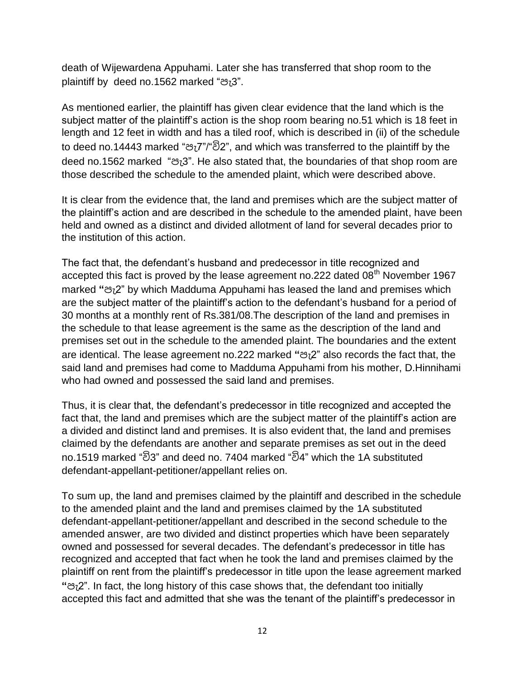death of Wijewardena Appuhami. Later she has transferred that shop room to the plaintiff by deed no.1562 marked "පැ3".

As mentioned earlier, the plaintiff has given clear evidence that the land which is the subject matter of the plaintiff's action is the shop room bearing no.51 which is 18 feet in length and 12 feet in width and has a tiled roof, which is described in (ii) of the schedule to deed no.14443 marked "පැ7"/"වි2", and which was transferred to the plaintiff by the deed no.1562 marked "පැ3". He also stated that, the boundaries of that shop room are those described the schedule to the amended plaint, which were described above.

It is clear from the evidence that, the land and premises which are the subject matter of the plaintiff's action and are described in the schedule to the amended plaint, have been held and owned as a distinct and divided allotment of land for several decades prior to the institution of this action.

The fact that, the defendant's husband and predecessor in title recognized and accepted this fact is proved by the lease agreement no.222 dated  $08<sup>th</sup>$  November 1967 marked **"**පැ2" by which Madduma Appuhami has leased the land and premises which are the subject matter of the plaintiff's action to the defendant's husband for a period of 30 months at a monthly rent of Rs.381/08.The description of the land and premises in the schedule to that lease agreement is the same as the description of the land and premises set out in the schedule to the amended plaint. The boundaries and the extent are identical. The lease agreement no.222 marked **"**පැ2" also records the fact that, the said land and premises had come to Madduma Appuhami from his mother, D.Hinnihami who had owned and possessed the said land and premises.

Thus, it is clear that, the defendant's predecessor in title recognized and accepted the fact that, the land and premises which are the subject matter of the plaintiff's action are a divided and distinct land and premises. It is also evident that, the land and premises claimed by the defendants are another and separate premises as set out in the deed no.1519 marked "වි3" and deed no. 7404 marked "වි4" which the 1A substituted defendant-appellant-petitioner/appellant relies on.

To sum up, the land and premises claimed by the plaintiff and described in the schedule to the amended plaint and the land and premises claimed by the 1A substituted defendant-appellant-petitioner/appellant and described in the second schedule to the amended answer, are two divided and distinct properties which have been separately owned and possessed for several decades. The defendant's predecessor in title has recognized and accepted that fact when he took the land and premises claimed by the plaintiff on rent from the plaintiff's predecessor in title upon the lease agreement marked **"**පැ2". In fact, the long history of this case shows that, the defendant too initially accepted this fact and admitted that she was the tenant of the plaintiff's predecessor in